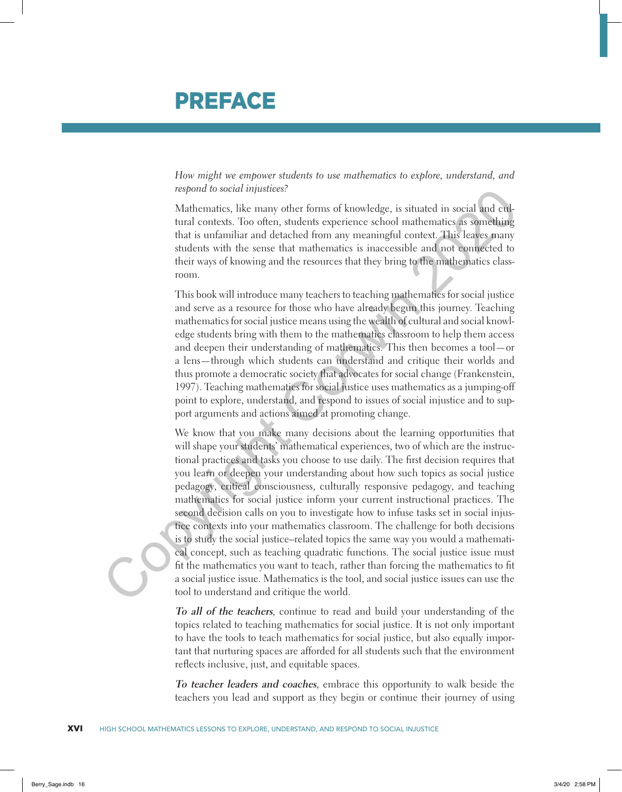## PREFACE

*How might we empower students to use mathematics to explore, understand, and respond to social injustices?*

Mathematics, like many other forms of knowledge, is situated in social and cultural contexts. Too often, students experience school mathematics as something that is unfamiliar and detached from any meaningful context. This leaves many students with the sense that mathematics is inaccessible and not connected to their ways of knowing and the resources that they bring to the mathematics classroom.

This book will introduce many teachers to teaching mathematics for social justice and serve as a resource for those who have already begun this journey. Teaching mathematics for social justice means using the wealth of cultural and social knowledge students bring with them to the mathematics classroom to help them access and deepen their understanding of mathematics. This then becomes a tool—or a lens—through which students can understand and critique their worlds and thus promote a democratic society that advocates for social change (Frankenstein, 1997). Teaching mathematics for social justice uses mathematics as a jumping-off point to explore, understand, and respond to issues of social injustice and to support arguments and actions aimed at promoting change.

We know that you make many decisions about the learning opportunities that will shape your students' mathematical experiences, two of which are the instructional practices and tasks you choose to use daily. The first decision requires that you learn or deepen your understanding about how such topics as social justice pedagogy, critical consciousness, culturally responsive pedagogy, and teaching mathematics for social justice inform your current instructional practices. The second decision calls on you to investigate how to infuse tasks set in social injustice contexts into your mathematics classroom. The challenge for both decisions is to study the social justice–related topics the same way you would a mathematical concept, such as teaching quadratic functions. The social justice issue must fit the mathematics you want to teach, rather than forcing the mathematics to fit a social justice issue. Mathematics is the tool, and social justice issues can use the tool to understand and critique the world. respond to social tunistics;<br>
Mathematics, like many other forms of knowledge, is situated in social and exit-<br>
Mark contents, students experience school mathematics as something<br>
that is unfamiliar and detabled from any n

> **To all of the teachers**, continue to read and build your understanding of the topics related to teaching mathematics for social justice. It is not only important to have the tools to teach mathematics for social justice, but also equally important that nurturing spaces are afforded for all students such that the environment reflects inclusive, just, and equitable spaces.

> **To teacher leaders and coaches**, embrace this opportunity to walk beside the teachers you lead and support as they begin or continue their journey of using